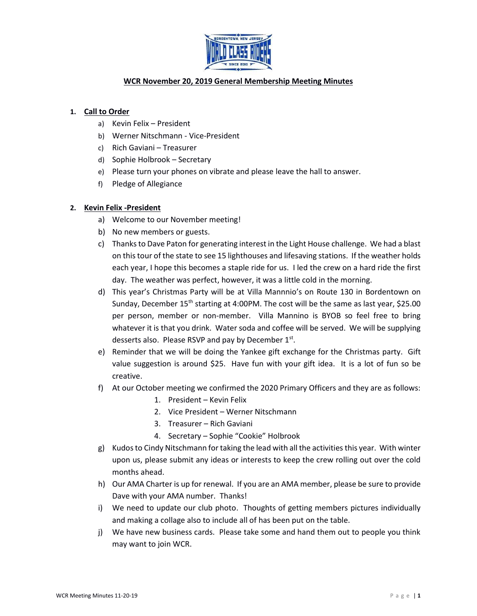

# **WCR November 20, 2019 General Membership Meeting Minutes**

## **1. Call to Order**

- a) Kevin Felix President
- b) Werner Nitschmann Vice-President
- c) Rich Gaviani Treasurer
- d) Sophie Holbrook Secretary
- e) Please turn your phones on vibrate and please leave the hall to answer.
- f) Pledge of Allegiance

## **2. Kevin Felix -President**

- a) Welcome to our November meeting!
- b) No new members or guests.
- c) Thanks to Dave Paton for generating interest in the Light House challenge. We had a blast on this tour of the state to see 15 lighthouses and lifesaving stations. If the weather holds each year, I hope this becomes a staple ride for us. I led the crew on a hard ride the first day. The weather was perfect, however, it was a little cold in the morning.
- d) This year's Christmas Party will be at Villa Mannnio's on Route 130 in Bordentown on Sunday, December 15<sup>th</sup> starting at 4:00PM. The cost will be the same as last year, \$25.00 per person, member or non-member. Villa Mannino is BYOB so feel free to bring whatever it is that you drink. Water soda and coffee will be served. We will be supplying desserts also. Please RSVP and pay by December  $1<sup>st</sup>$ .
- e) Reminder that we will be doing the Yankee gift exchange for the Christmas party. Gift value suggestion is around \$25. Have fun with your gift idea. It is a lot of fun so be creative.
- f) At our October meeting we confirmed the 2020 Primary Officers and they are as follows:
	- 1. President Kevin Felix
	- 2. Vice President Werner Nitschmann
	- 3. Treasurer Rich Gaviani
	- 4. Secretary Sophie "Cookie" Holbrook
- g) Kudos to Cindy Nitschmann fortaking the lead with all the activities this year. With winter upon us, please submit any ideas or interests to keep the crew rolling out over the cold months ahead.
- h) Our AMA Charter is up for renewal. If you are an AMA member, please be sure to provide Dave with your AMA number. Thanks!
- i) We need to update our club photo. Thoughts of getting members pictures individually and making a collage also to include all of has been put on the table.
- j) We have new business cards. Please take some and hand them out to people you think may want to join WCR.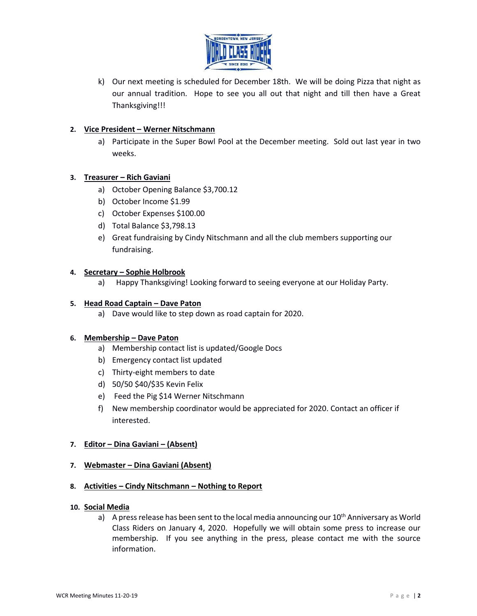

k) Our next meeting is scheduled for December 18th. We will be doing Pizza that night as our annual tradition. Hope to see you all out that night and till then have a Great Thanksgiving!!!

## **2. Vice President – Werner Nitschmann**

a) Participate in the Super Bowl Pool at the December meeting. Sold out last year in two weeks.

## **3. Treasurer – Rich Gaviani**

- a) October Opening Balance \$3,700.12
- b) October Income \$1.99
- c) October Expenses \$100.00
- d) Total Balance \$3,798.13
- e) Great fundraising by Cindy Nitschmann and all the club members supporting our fundraising.

### **4. Secretary – Sophie Holbrook**

a) Happy Thanksgiving! Looking forward to seeing everyone at our Holiday Party.

#### **5. Head Road Captain – Dave Paton**

a) Dave would like to step down as road captain for 2020.

### **6. Membership – Dave Paton**

- a) Membership contact list is updated/Google Docs
- b) Emergency contact list updated
- c) Thirty-eight members to date
- d) 50/50 \$40/\$35 Kevin Felix
- e) Feed the Pig \$14 Werner Nitschmann
- f) New membership coordinator would be appreciated for 2020. Contact an officer if interested.

### **7. Editor – Dina Gaviani – (Absent)**

**7. Webmaster – Dina Gaviani (Absent)**

### **8. Activities – Cindy Nitschmann – Nothing to Report**

#### **10. Social Media**

a) A press release has been sent to the local media announcing our  $10<sup>th</sup>$  Anniversary as World Class Riders on January 4, 2020. Hopefully we will obtain some press to increase our membership. If you see anything in the press, please contact me with the source information.